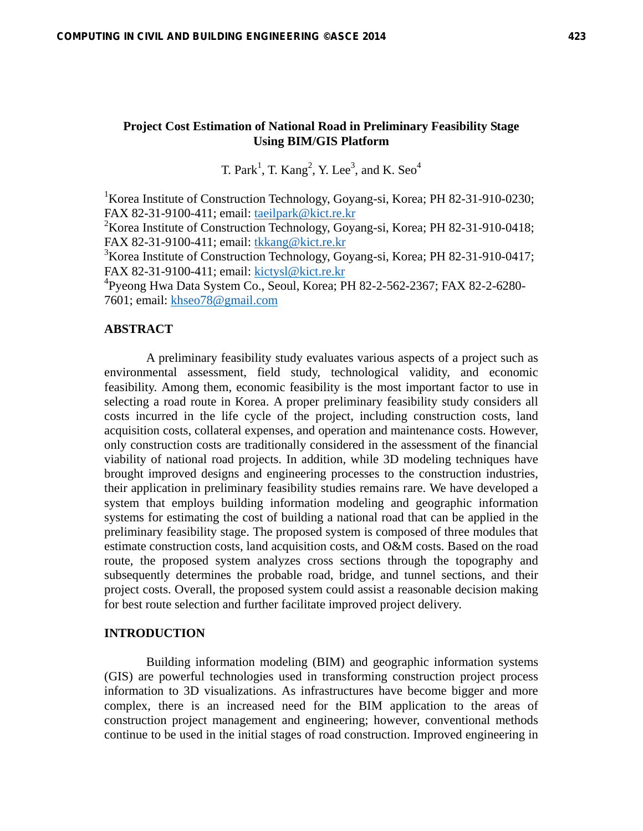## **Project Cost Estimation of National Road in Preliminary Feasibility Stage Using BIM/GIS Platform**

T. Park<sup>1</sup>, T. Kang<sup>2</sup>, Y. Lee<sup>3</sup>, and K. Seo<sup>4</sup>

<sup>1</sup>Korea Institute of Construction Technology, Goyang-si, Korea; PH 82-31-910-0230; FAX 82-31-9100-411; email: taeilpark@kict.re.kr

<sup>2</sup>Korea Institute of Construction Technology, Goyang-si, Korea; PH 82-31-910-0418; FAX 82-31-9100-411; email: tkkang@kict.re.kr

<sup>3</sup>Korea Institute of Construction Technology, Goyang-si, Korea; PH 82-31-910-0417; FAX 82-31-9100-411; email: kictysl@kict.re.kr

4 Pyeong Hwa Data System Co., Seoul, Korea; PH 82-2-562-2367; FAX 82-2-6280- 7601; email: khseo78@gmail.com

## **ABSTRACT**

 A preliminary feasibility study evaluates various aspects of a project such as environmental assessment, field study, technological validity, and economic feasibility. Among them, economic feasibility is the most important factor to use in selecting a road route in Korea. A proper preliminary feasibility study considers all costs incurred in the life cycle of the project, including construction costs, land acquisition costs, collateral expenses, and operation and maintenance costs. However, only construction costs are traditionally considered in the assessment of the financial viability of national road projects. In addition, while 3D modeling techniques have brought improved designs and engineering processes to the construction industries, their application in preliminary feasibility studies remains rare. We have developed a system that employs building information modeling and geographic information systems for estimating the cost of building a national road that can be applied in the preliminary feasibility stage. The proposed system is composed of three modules that estimate construction costs, land acquisition costs, and O&M costs. Based on the road route, the proposed system analyzes cross sections through the topography and subsequently determines the probable road, bridge, and tunnel sections, and their project costs. Overall, the proposed system could assist a reasonable decision making for best route selection and further facilitate improved project delivery.

#### **INTRODUCTION**

 Building information modeling (BIM) and geographic information systems (GIS) are powerful technologies used in transforming construction project process information to 3D visualizations. As infrastructures have become bigger and more complex, there is an increased need for the BIM application to the areas of construction project management and engineering; however, conventional methods continue to be used in the initial stages of road construction. Improved engineering in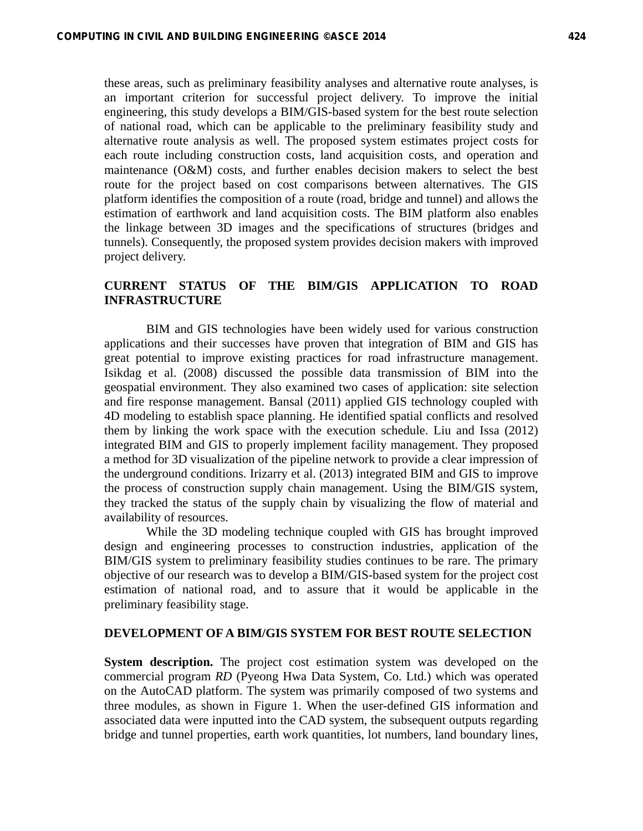these areas, such as preliminary feasibility analyses and alternative route analyses, is an important criterion for successful project delivery. To improve the initial engineering, this study develops a BIM/GIS-based system for the best route selection of national road, which can be applicable to the preliminary feasibility study and alternative route analysis as well. The proposed system estimates project costs for each route including construction costs, land acquisition costs, and operation and maintenance (O&M) costs, and further enables decision makers to select the best route for the project based on cost comparisons between alternatives. The GIS platform identifies the composition of a route (road, bridge and tunnel) and allows the estimation of earthwork and land acquisition costs. The BIM platform also enables the linkage between 3D images and the specifications of structures (bridges and tunnels). Consequently, the proposed system provides decision makers with improved project delivery.

# **CURRENT STATUS OF THE BIM/GIS APPLICATION TO ROAD INFRASTRUCTURE**

BIM and GIS technologies have been widely used for various construction applications and their successes have proven that integration of BIM and GIS has great potential to improve existing practices for road infrastructure management. Isikdag et al. (2008) discussed the possible data transmission of BIM into the geospatial environment. They also examined two cases of application: site selection and fire response management. Bansal (2011) applied GIS technology coupled with 4D modeling to establish space planning. He identified spatial conflicts and resolved them by linking the work space with the execution schedule. Liu and Issa (2012) integrated BIM and GIS to properly implement facility management. They proposed a method for 3D visualization of the pipeline network to provide a clear impression of the underground conditions. Irizarry et al. (2013) integrated BIM and GIS to improve the process of construction supply chain management. Using the BIM/GIS system, they tracked the status of the supply chain by visualizing the flow of material and availability of resources.

 While the 3D modeling technique coupled with GIS has brought improved design and engineering processes to construction industries, application of the BIM/GIS system to preliminary feasibility studies continues to be rare. The primary objective of our research was to develop a BIM/GIS-based system for the project cost estimation of national road, and to assure that it would be applicable in the preliminary feasibility stage.

#### **DEVELOPMENT OF A BIM/GIS SYSTEM FOR BEST ROUTE SELECTION**

**System description.** The project cost estimation system was developed on the commercial program *RD* (Pyeong Hwa Data System, Co. Ltd.) which was operated on the AutoCAD platform. The system was primarily composed of two systems and three modules, as shown in Figure 1. When the user-defined GIS information and associated data were inputted into the CAD system, the subsequent outputs regarding bridge and tunnel properties, earth work quantities, lot numbers, land boundary lines,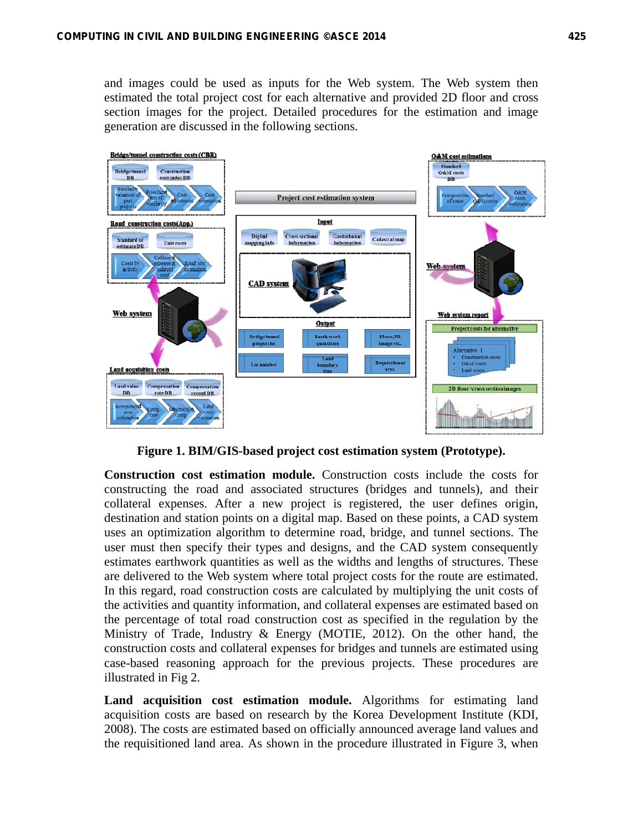and images could be used as inputs for the Web system. The Web system then estimated the total project cost for each alternative and provided 2D floor and cross section images for the project. Detailed procedures for the estimation and image generation are discussed in the following sections.



**Figure 1. BIM/GIS-based project cost estimation system (Prototype).** 

**Construction cost estimation module.** Construction costs include the costs for constructing the road and associated structures (bridges and tunnels), and their collateral expenses. After a new project is registered, the user defines origin, destination and station points on a digital map. Based on these points, a CAD system uses an optimization algorithm to determine road, bridge, and tunnel sections. The user must then specify their types and designs, and the CAD system consequently estimates earthwork quantities as well as the widths and lengths of structures. These are delivered to the Web system where total project costs for the route are estimated. In this regard, road construction costs are calculated by multiplying the unit costs of the activities and quantity information, and collateral expenses are estimated based on the percentage of total road construction cost as specified in the regulation by the Ministry of Trade, Industry & Energy (MOTIE, 2012). On the other hand, the construction costs and collateral expenses for bridges and tunnels are estimated using case-based reasoning approach for the previous projects. These procedures are illustrated in Fig 2.

**Land acquisition cost estimation module.** Algorithms for estimating land acquisition costs are based on research by the Korea Development Institute (KDI, 2008). The costs are estimated based on officially announced average land values and the requisitioned land area. As shown in the procedure illustrated in Figure 3, when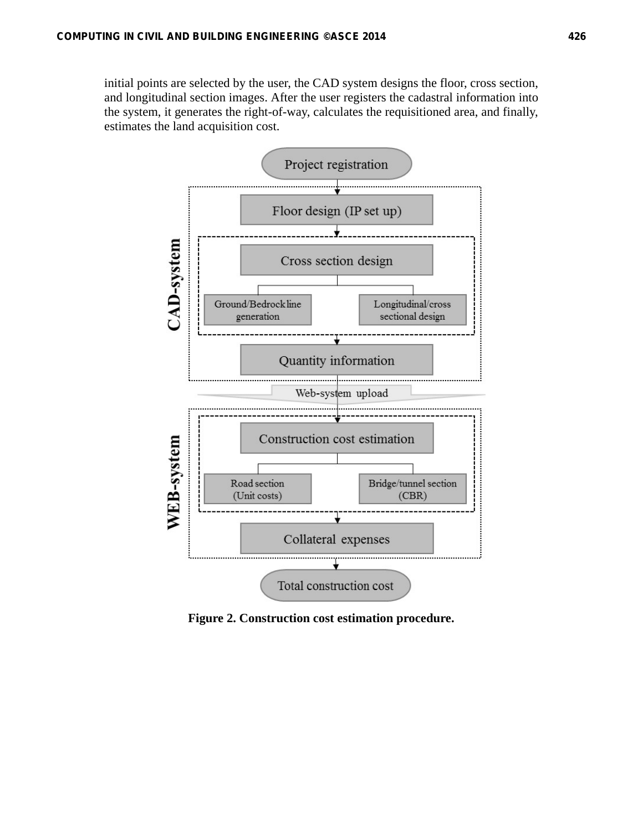initial points are selected by the user, the CAD system designs the floor, cross section, and longitudinal section images. After the user registers the cadastral information into the system, it generates the right-of-way, calculates the requisitioned area, and finally, estimates the land acquisition cost.



**Figure 2. Construction cost estimation procedure.**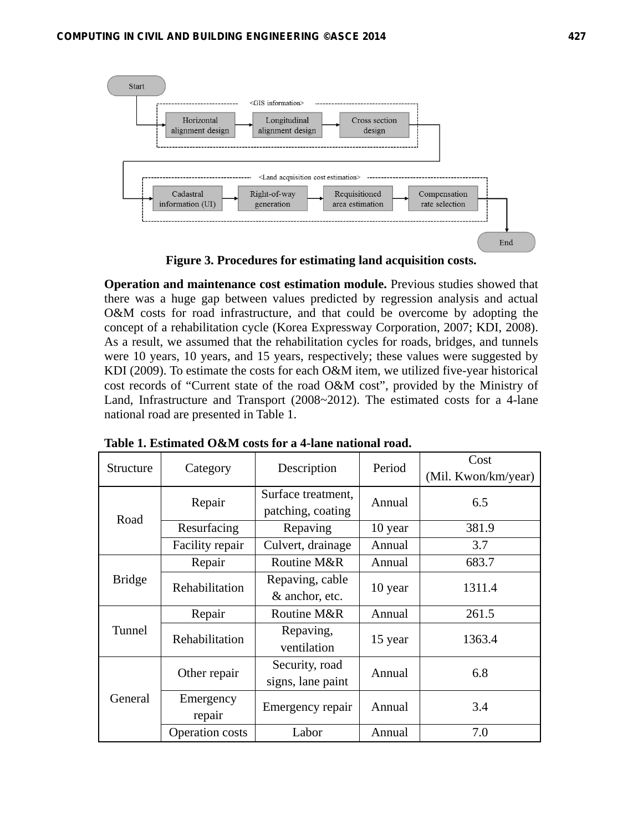

**Figure 3. Procedures for estimating land acquisition costs.** 

**Operation and maintenance cost estimation module.** Previous studies showed that there was a huge gap between values predicted by regression analysis and actual O&M costs for road infrastructure, and that could be overcome by adopting the concept of a rehabilitation cycle (Korea Expressway Corporation, 2007; KDI, 2008). As a result, we assumed that the rehabilitation cycles for roads, bridges, and tunnels were 10 years, 10 years, and 15 years, respectively; these values were suggested by KDI (2009). To estimate the costs for each O&M item, we utilized five-year historical cost records of "Current state of the road O&M cost", provided by the Ministry of Land, Infrastructure and Transport (2008~2012). The estimated costs for a 4-lane national road are presented in Table 1.

| Structure     | Category        | Description        | Period  | Cost                |
|---------------|-----------------|--------------------|---------|---------------------|
|               |                 |                    |         | (Mil. Kwon/km/year) |
| Road          | Repair          | Surface treatment, | Annual  | 6.5                 |
|               |                 | patching, coating  |         |                     |
|               | Resurfacing     | Repaving           | 10 year | 381.9               |
|               | Facility repair | Culvert, drainage  | Annual  | 3.7                 |
| <b>Bridge</b> | Repair          | Routine M&R        | Annual  | 683.7               |
|               | Rehabilitation  | Repaving, cable    | 10 year | 1311.4              |
|               |                 | & anchor, etc.     |         |                     |
| Tunnel        | Repair          | Routine M&R        | Annual  | 261.5               |
|               | Rehabilitation  | Repaving,          | 15 year | 1363.4              |
|               |                 | ventilation        |         |                     |
| General       | Other repair    | Security, road     | Annual  | 6.8                 |
|               |                 | signs, lane paint  |         |                     |
|               | Emergency       | Emergency repair   | Annual  | 3.4                 |
|               | repair          |                    |         |                     |
|               | Operation costs | Labor              | Annual  | 7.0                 |

**Table 1. Estimated O&M costs for a 4-lane national road.**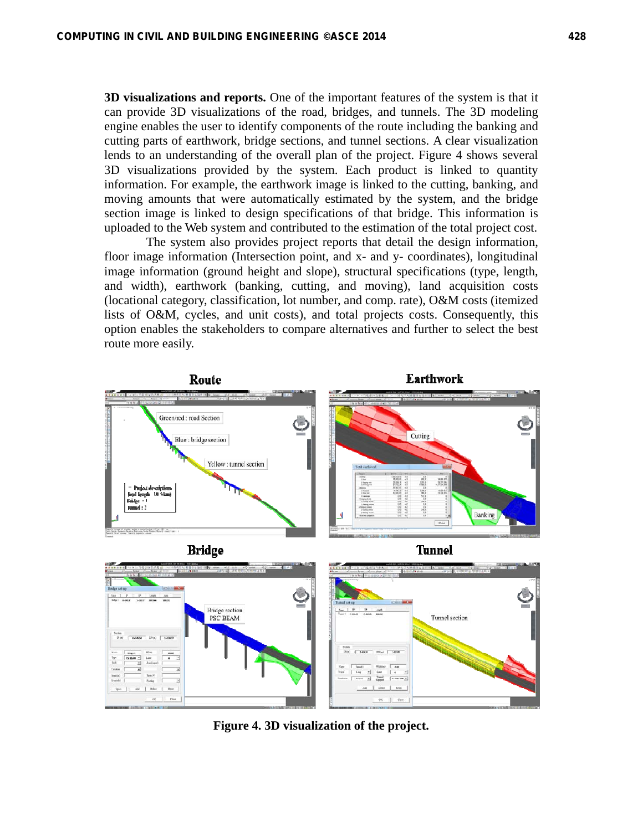**3D visualizations and reports.** One of the important features of the system is that it can provide 3D visualizations of the road, bridges, and tunnels. The 3D modeling engine enables the user to identify components of the route including the banking and cutting parts of earthwork, bridge sections, and tunnel sections. A clear visualization lends to an understanding of the overall plan of the project. Figure 4 shows several 3D visualizations provided by the system. Each product is linked to quantity information. For example, the earthwork image is linked to the cutting, banking, and moving amounts that were automatically estimated by the system, and the bridge section image is linked to design specifications of that bridge. This information is uploaded to the Web system and contributed to the estimation of the total project cost.

 The system also provides project reports that detail the design information, floor image information (Intersection point, and x- and y- coordinates), longitudinal image information (ground height and slope), structural specifications (type, length, and width), earthwork (banking, cutting, and moving), land acquisition costs (locational category, classification, lot number, and comp. rate), O&M costs (itemized lists of O&M, cycles, and unit costs), and total projects costs. Consequently, this option enables the stakeholders to compare alternatives and further to select the best route more easily.



**Figure 4. 3D visualization of the project.**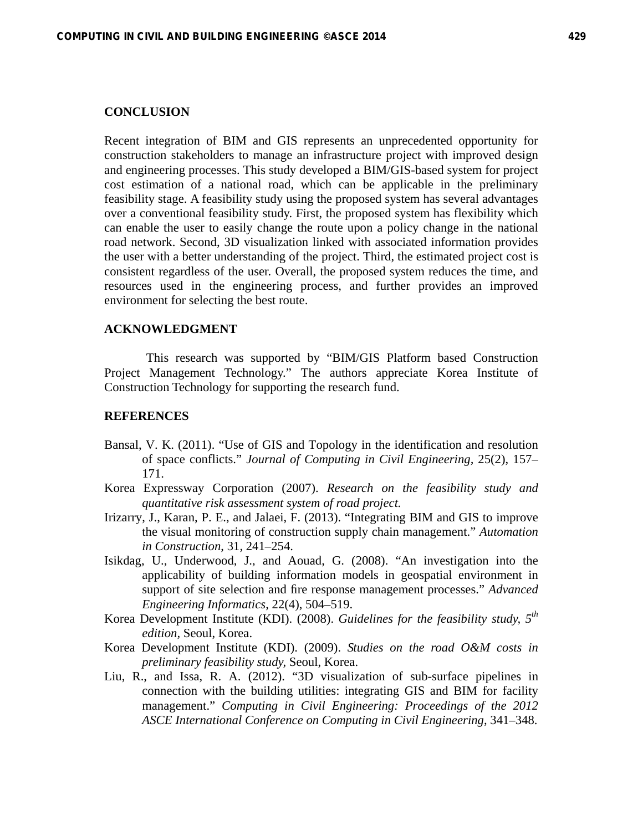### **CONCLUSION**

Recent integration of BIM and GIS represents an unprecedented opportunity for construction stakeholders to manage an infrastructure project with improved design and engineering processes. This study developed a BIM/GIS-based system for project cost estimation of a national road, which can be applicable in the preliminary feasibility stage. A feasibility study using the proposed system has several advantages over a conventional feasibility study. First, the proposed system has flexibility which can enable the user to easily change the route upon a policy change in the national road network. Second, 3D visualization linked with associated information provides the user with a better understanding of the project. Third, the estimated project cost is consistent regardless of the user. Overall, the proposed system reduces the time, and resources used in the engineering process, and further provides an improved environment for selecting the best route.

#### **ACKNOWLEDGMENT**

This research was supported by "BIM/GIS Platform based Construction Project Management Technology." The authors appreciate Korea Institute of Construction Technology for supporting the research fund.

#### **REFERENCES**

- Bansal, V. K. (2011). "Use of GIS and Topology in the identification and resolution of space conflicts." *Journal of Computing in Civil Engineering,* 25(2), 157– 171.
- Korea Expressway Corporation (2007). *Research on the feasibility study and quantitative risk assessment system of road project.*
- Irizarry, J., Karan, P. E., and Jalaei, F. (2013). "Integrating BIM and GIS to improve the visual monitoring of construction supply chain management." *Automation in Construction*, 31, 241–254.
- Isikdag, U., Underwood, J., and Aouad, G. (2008). "An investigation into the applicability of building information models in geospatial environment in support of site selection and fire response management processes." *Advanced Engineering Informatics*, 22(4), 504–519.
- Korea Development Institute (KDI). (2008). *Guidelines for the feasibility study, 5th edition,* Seoul, Korea.
- Korea Development Institute (KDI). (2009). *Studies on the road O&M costs in preliminary feasibility study,* Seoul, Korea.
- Liu, R., and Issa, R. A. (2012). "3D visualization of sub-surface pipelines in connection with the building utilities: integrating GIS and BIM for facility management." *Computing in Civil Engineering: Proceedings of the 2012 ASCE International Conference on Computing in Civil Engineering*, 341–348.